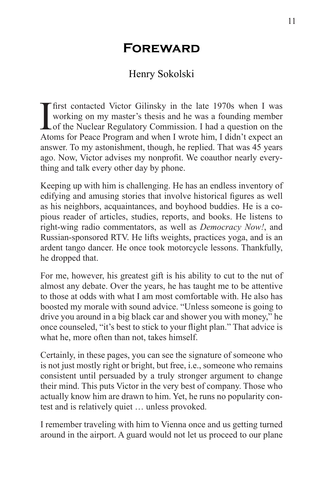## **Foreward**

## Henry Sokolski

I<br>Ato first contacted Victor Gilinsky in the late 1970s when I was working on my master's thesis and he was a founding member of the Nuclear Regulatory Commission. I had a question on the Atoms for Peace Program and when I wrote him, I didn't expect an answer. To my astonishment, though, he replied. That was 45 years ago. Now, Victor advises my nonprofit. We coauthor nearly everything and talk every other day by phone.

Keeping up with him is challenging. He has an endless inventory of edifying and amusing stories that involve historical figures as well as his neighbors, acquaintances, and boyhood buddies. He is a copious reader of articles, studies, reports, and books. He listens to right-wing radio commentators, as well as *Democracy Now!*, and Russian-sponsored RTV. He lifts weights, practices yoga, and is an ardent tango dancer. He once took motorcycle lessons. Thankfully, he dropped that.

For me, however, his greatest gift is his ability to cut to the nut of almost any debate. Over the years, he has taught me to be attentive to those at odds with what I am most comfortable with. He also has boosted my morale with sound advice. "Unless someone is going to drive you around in a big black car and shower you with money," he once counseled, "it's best to stick to your flight plan." That advice is what he, more often than not, takes himself.

Certainly, in these pages, you can see the signature of someone who is not just mostly right or bright, but free, i.e., someone who remains consistent until persuaded by a truly stronger argument to change their mind. This puts Victor in the very best of company. Those who actually know him are drawn to him. Yet, he runs no popularity contest and is relatively quiet … unless provoked.

I remember traveling with him to Vienna once and us getting turned around in the airport. A guard would not let us proceed to our plane